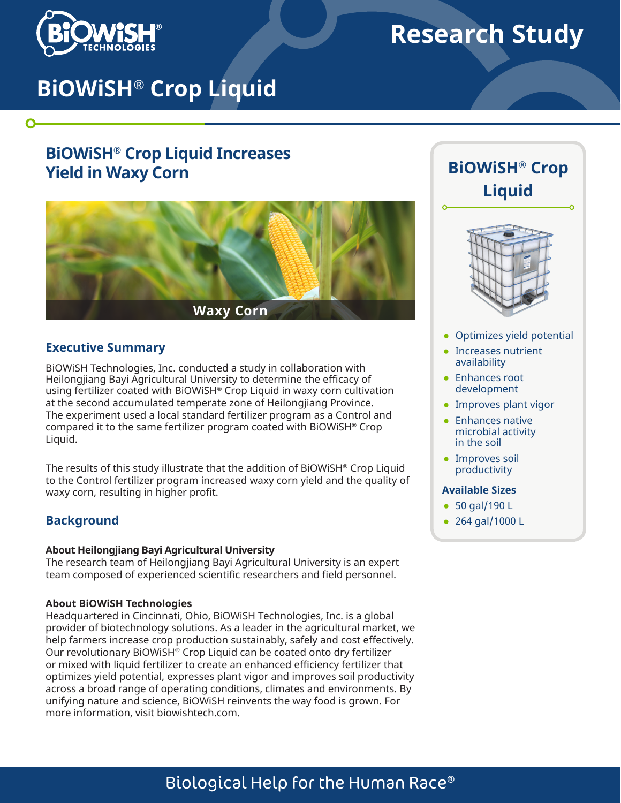

 $\mathbf O$ 

# **Research Study**

# **BiOWiSH® Crop Liquid**

# **BiOWiSH® Crop Liquid Increases Yield in Waxy Corn**



### **Executive Summary**

BiOWiSH Technologies, Inc. conducted a study in collaboration with Heilongjiang Bayi Agricultural University to determine the efficacy of using fertilizer coated with BiOWiSH® Crop Liquid in waxy corn cultivation at the second accumulated temperate zone of Heilongjiang Province. The experiment used a local standard fertilizer program as a Control and compared it to the same fertilizer program coated with BiOWiSH® Crop Liquid.

The results of this study illustrate that the addition of BiOWiSH® Crop Liquid to the Control fertilizer program increased waxy corn yield and the quality of waxy corn, resulting in higher profit.

## **Background**

#### **About Heilongjiang Bayi Agricultural University**

The research team of Heilongjiang Bayi Agricultural University is an expert team composed of experienced scientific researchers and field personnel.

#### **About BiOWiSH Technologies**

Headquartered in Cincinnati, Ohio, BiOWiSH Technologies, Inc. is a global provider of biotechnology solutions. As a leader in the agricultural market, we help farmers increase crop production sustainably, safely and cost effectively. Our revolutionary BiOWiSH® Crop Liquid can be coated onto dry fertilizer or mixed with liquid fertilizer to create an enhanced efficiency fertilizer that optimizes yield potential, expresses plant vigor and improves soil productivity across a broad range of operating conditions, climates and environments. By unifying nature and science, BiOWiSH reinvents the way food is grown. For more information, visit biowishtech.com.





- Optimizes yield potential
- Increases nutrient availability
- Enhances root development
- Improves plant vigor
- Enhances native microbial activity in the soil
- Improves soil productivity

#### **Available Sizes**

- 50 gal/190 L
- 264 gal/1000 L

# Biological Help for the Human Race®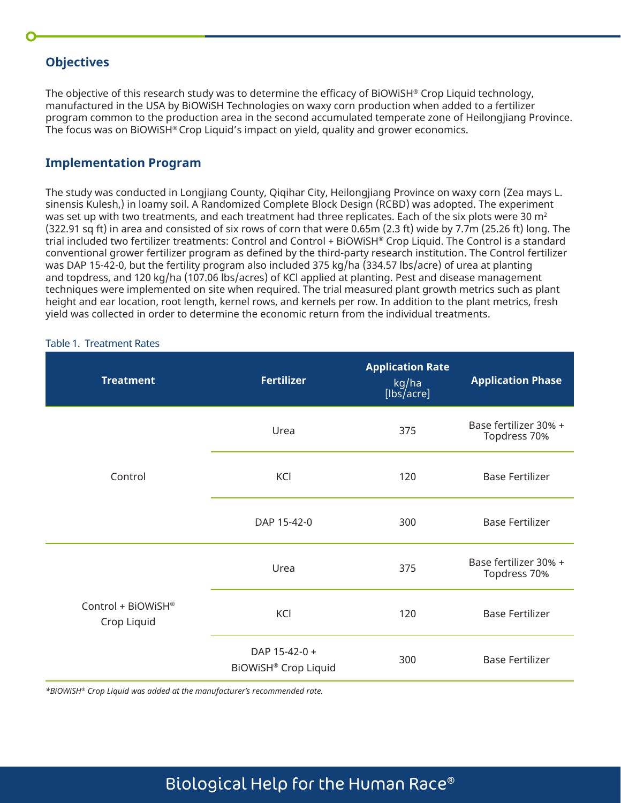# **Objectives**

The objective of this research study was to determine the efficacy of BiOWiSH® Crop Liquid technology, manufactured in the USA by BiOWiSH Technologies on waxy corn production when added to a fertilizer program common to the production area in the second accumulated temperate zone of Heilongjiang Province. The focus was on BiOWiSH® Crop Liquid's impact on yield, quality and grower economics.

## **Implementation Program**

The study was conducted in Longjiang County, Qiqihar City, Heilongjiang Province on waxy corn (Zea mays L. sinensis Kulesh,) in loamy soil. A Randomized Complete Block Design (RCBD) was adopted. The experiment was set up with two treatments, and each treatment had three replicates. Each of the six plots were 30  $m<sup>2</sup>$ (322.91 sq ft) in area and consisted of six rows of corn that were 0.65m (2.3 ft) wide by 7.7m (25.26 ft) long. The trial included two fertilizer treatments: Control and Control + BiOWiSH® Crop Liquid. The Control is a standard conventional grower fertilizer program as defined by the third-party research institution. The Control fertilizer was DAP 15-42-0, but the fertility program also included 375 kg/ha (334.57 lbs/acre) of urea at planting and topdress, and 120 kg/ha (107.06 lbs/acres) of KCl applied at planting. Pest and disease management techniques were implemented on site when required. The trial measured plant growth metrics such as plant height and ear location, root length, kernel rows, and kernels per row. In addition to the plant metrics, fresh yield was collected in order to determine the economic return from the individual treatments.

#### Table 1. Treatment Rates

| <b>Treatment</b>                  | <b>Fertilizer</b>                            | <b>Application Rate</b><br>kg/ha<br>[lbs/acre] | <b>Application Phase</b>              |
|-----------------------------------|----------------------------------------------|------------------------------------------------|---------------------------------------|
|                                   | Urea                                         | 375                                            | Base fertilizer 30% +<br>Topdress 70% |
| Control                           | KCI<br>120                                   |                                                | <b>Base Fertilizer</b>                |
|                                   | DAP 15-42-0                                  | 300                                            | <b>Base Fertilizer</b>                |
| Control + BiOWiSH®<br>Crop Liquid | Urea<br>375                                  |                                                | Base fertilizer 30% +<br>Topdress 70% |
|                                   | KCI                                          | 120                                            | <b>Base Fertilizer</b>                |
|                                   | DAP 15-42-0 +<br><b>BIOWISH® Crop Liquid</b> | 300                                            | <b>Base Fertilizer</b>                |

*\*BiOWiSH® Crop Liquid was added at the manufacturer's recommended rate.*

# Biological Help for the Human Race®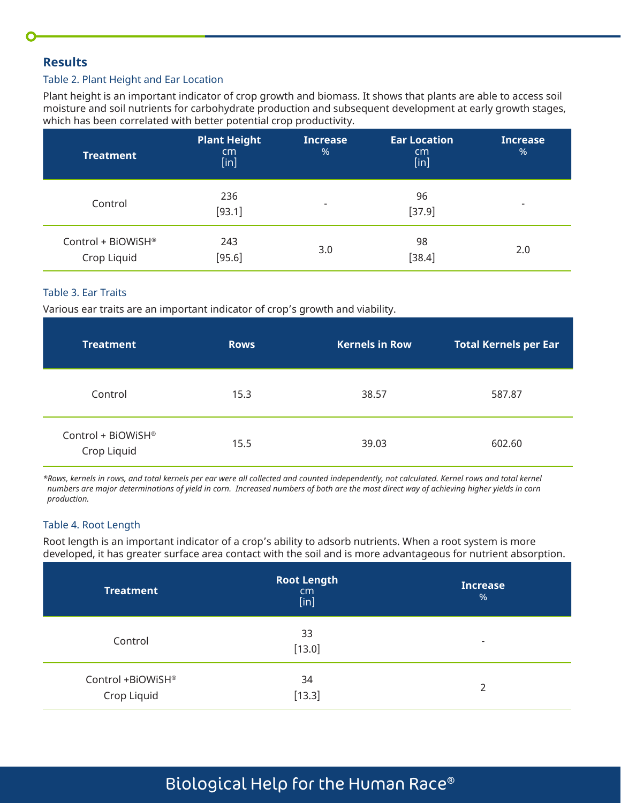## **Results**

#### Table 2. Plant Height and Ear Location

Plant height is an important indicator of crop growth and biomass. It shows that plants are able to access soil moisture and soil nutrients for carbohydrate production and subsequent development at early growth stages, which has been correlated with better potential crop productivity.

| <b>Treatment</b>                              | Plant Height<br>cm<br>[in] | Increase<br>% | <b>Ear Location</b><br>cm <sub>2</sub><br>$[$ in] | <b>Increase</b><br>$\frac{9}{6}$ |
|-----------------------------------------------|----------------------------|---------------|---------------------------------------------------|----------------------------------|
| Control                                       | 236<br>[93.1]              | ۰             | 96<br>[37.9]                                      | $\overline{\phantom{0}}$         |
| Control + BiOWiSH <sup>®</sup><br>Crop Liquid | 243<br>[95.6]              | 3.0           | 98<br>[38.4]                                      | 2.0                              |

### Table 3. Ear Traits

Various ear traits are an important indicator of crop's growth and viability.

| <b>Treatment</b>                              | <b>Rows</b> | <b>Kernels in Row</b> | <b>Total Kernels per Ear</b> |
|-----------------------------------------------|-------------|-----------------------|------------------------------|
| Control                                       | 15.3        | 38.57                 | 587.87                       |
| Control + BiOWiSH <sup>®</sup><br>Crop Liquid | 15.5        | 39.03                 | 602.60                       |

*\*Rows, kernels in rows, and total kernels per ear were all collected and counted independently, not calculated. Kernel rows and total kernel numbers are major determinations of yield in corn. Increased numbers of both are the most direct way of achieving higher yields in corn production.*

#### Table 4. Root Length

Root length is an important indicator of a crop's ability to adsorb nutrients. When a root system is more developed, it has greater surface area contact with the soil and is more advantageous for nutrient absorption.

| <b>Treatment</b>                 | <b>Root Length</b><br>cm<br>[in] | <b>Increase</b><br>%     |
|----------------------------------|----------------------------------|--------------------------|
| Control                          | 33<br>[13.0]                     | $\overline{\phantom{a}}$ |
| Control +BiOWiSH®<br>Crop Liquid | 34<br>[13.3]                     | $\overline{2}$           |